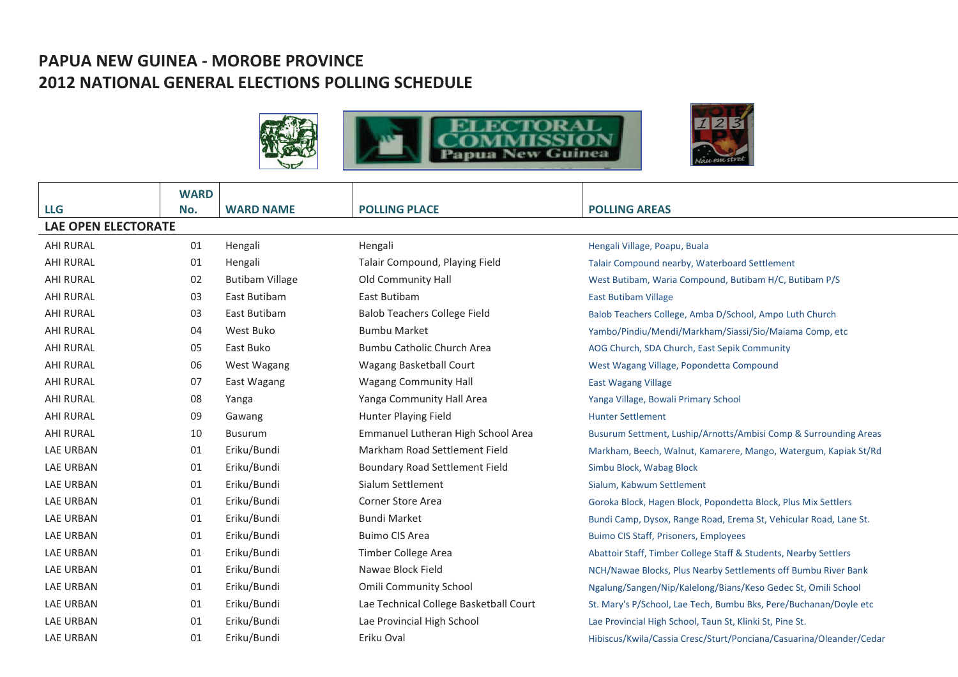## **PAPUA NEW GUINEA - MOROBE PROVINCE 2012 NATIONAL GENERAL ELECTIONS POLLING SCHEDULE**





|                            | <b>WARD</b> |                        |                                        |                                                                     |  |  |
|----------------------------|-------------|------------------------|----------------------------------------|---------------------------------------------------------------------|--|--|
| <b>LLG</b>                 | No.         | <b>WARD NAME</b>       | <b>POLLING PLACE</b>                   | <b>POLLING AREAS</b>                                                |  |  |
| <b>LAE OPEN ELECTORATE</b> |             |                        |                                        |                                                                     |  |  |
| <b>AHI RURAL</b>           | 01          | Hengali                | Hengali                                | Hengali Village, Poapu, Buala                                       |  |  |
| <b>AHI RURAL</b>           | 01          | Hengali                | Talair Compound, Playing Field         | Talair Compound nearby, Waterboard Settlement                       |  |  |
| <b>AHI RURAL</b>           | 02          | <b>Butibam Village</b> | Old Community Hall                     | West Butibam, Waria Compound, Butibam H/C, Butibam P/S              |  |  |
| <b>AHI RURAL</b>           | 03          | East Butibam           | East Butibam                           | <b>East Butibam Village</b>                                         |  |  |
| <b>AHI RURAL</b>           | 03          | East Butibam           | <b>Balob Teachers College Field</b>    | Balob Teachers College, Amba D/School, Ampo Luth Church             |  |  |
| <b>AHI RURAL</b>           | 04          | West Buko              | <b>Bumbu Market</b>                    | Yambo/Pindiu/Mendi/Markham/Siassi/Sio/Maiama Comp, etc              |  |  |
| <b>AHI RURAL</b>           | 05          | East Buko              | Bumbu Catholic Church Area             | AOG Church, SDA Church, East Sepik Community                        |  |  |
| <b>AHI RURAL</b>           | 06          | West Wagang            | <b>Wagang Basketball Court</b>         | West Wagang Village, Popondetta Compound                            |  |  |
| <b>AHI RURAL</b>           | 07          | East Wagang            | <b>Wagang Community Hall</b>           | <b>East Wagang Village</b>                                          |  |  |
| <b>AHI RURAL</b>           | 08          | Yanga                  | Yanga Community Hall Area              | Yanga Village, Bowali Primary School                                |  |  |
| <b>AHI RURAL</b>           | 09          | Gawang                 | Hunter Playing Field                   | <b>Hunter Settlement</b>                                            |  |  |
| <b>AHI RURAL</b>           | 10          | <b>Busurum</b>         | Emmanuel Lutheran High School Area     | Busurum Settment, Luship/Arnotts/Ambisi Comp & Surrounding Areas    |  |  |
| <b>LAE URBAN</b>           | 01          | Eriku/Bundi            | Markham Road Settlement Field          | Markham, Beech, Walnut, Kamarere, Mango, Watergum, Kapiak St/Rd     |  |  |
| <b>LAE URBAN</b>           | 01          | Eriku/Bundi            | <b>Boundary Road Settlement Field</b>  | Simbu Block, Wabag Block                                            |  |  |
| <b>LAE URBAN</b>           | 01          | Eriku/Bundi            | Sialum Settlement                      | Sialum, Kabwum Settlement                                           |  |  |
| <b>LAE URBAN</b>           | 01          | Eriku/Bundi            | <b>Corner Store Area</b>               | Goroka Block, Hagen Block, Popondetta Block, Plus Mix Settlers      |  |  |
| <b>LAE URBAN</b>           | 01          | Eriku/Bundi            | <b>Bundi Market</b>                    | Bundi Camp, Dysox, Range Road, Erema St, Vehicular Road, Lane St.   |  |  |
| <b>LAE URBAN</b>           | 01          | Eriku/Bundi            | <b>Buimo CIS Area</b>                  | <b>Buimo CIS Staff, Prisoners, Employees</b>                        |  |  |
| <b>LAE URBAN</b>           | 01          | Eriku/Bundi            | Timber College Area                    | Abattoir Staff, Timber College Staff & Students, Nearby Settlers    |  |  |
| <b>LAE URBAN</b>           | 01          | Eriku/Bundi            | Nawae Block Field                      | NCH/Nawae Blocks, Plus Nearby Settlements off Bumbu River Bank      |  |  |
| <b>LAE URBAN</b>           | 01          | Eriku/Bundi            | <b>Omili Community School</b>          | Ngalung/Sangen/Nip/Kalelong/Bians/Keso Gedec St, Omili School       |  |  |
| <b>LAE URBAN</b>           | 01          | Eriku/Bundi            | Lae Technical College Basketball Court | St. Mary's P/School, Lae Tech, Bumbu Bks, Pere/Buchanan/Doyle etc   |  |  |
| <b>LAE URBAN</b>           | 01          | Eriku/Bundi            | Lae Provincial High School             | Lae Provincial High School, Taun St, Klinki St, Pine St.            |  |  |
| <b>LAE URBAN</b>           | 01          | Eriku/Bundi            | Eriku Oval                             | Hibiscus/Kwila/Cassia Cresc/Sturt/Ponciana/Casuarina/Oleander/Cedar |  |  |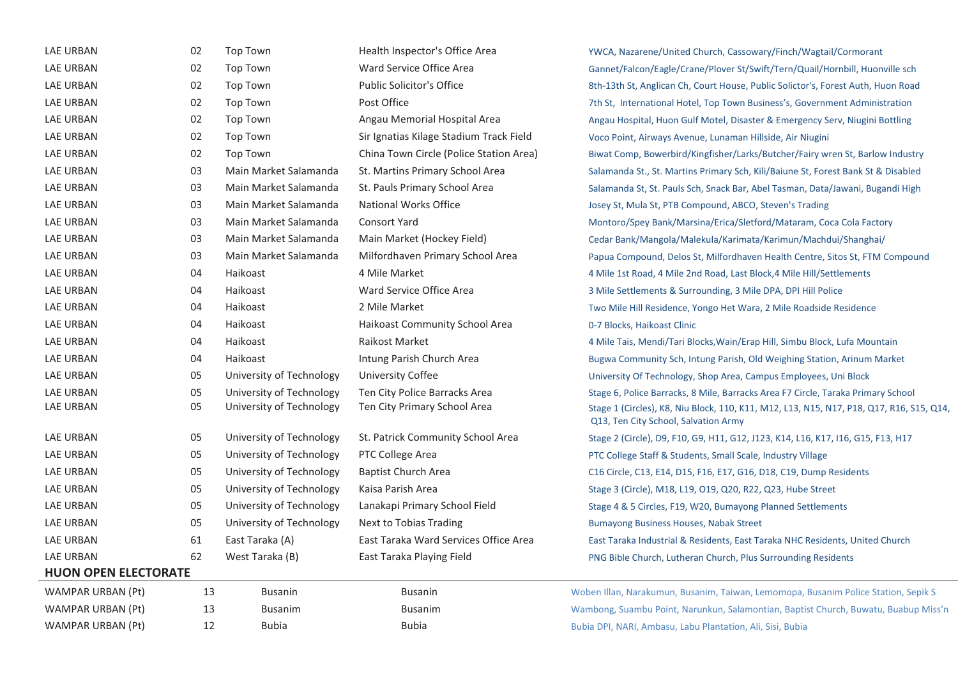| LAE URBAN                   | 02 | <b>Top Town</b>          | Health Inspector's Office Area          | YWCA, Nazarene/United Church, Cassowary/Finch/Wagtail/Cormorant                                                                  |  |  |
|-----------------------------|----|--------------------------|-----------------------------------------|----------------------------------------------------------------------------------------------------------------------------------|--|--|
| <b>LAE URBAN</b>            | 02 | <b>Top Town</b>          | Ward Service Office Area                | Gannet/Falcon/Eagle/Crane/Plover St/Swift/Tern/Quail/Hornbill, Huonville sch                                                     |  |  |
| LAE URBAN                   | 02 | <b>Top Town</b>          | <b>Public Solicitor's Office</b>        | 8th-13th St, Anglican Ch, Court House, Public Solictor's, Forest Auth, Huon Road                                                 |  |  |
| <b>LAE URBAN</b>            | 02 | Top Town                 | Post Office                             | 7th St, International Hotel, Top Town Business's, Government Administration                                                      |  |  |
| <b>LAE URBAN</b>            | 02 | Top Town                 | Angau Memorial Hospital Area            | Angau Hospital, Huon Gulf Motel, Disaster & Emergency Serv, Niugini Bottling                                                     |  |  |
| <b>LAE URBAN</b>            | 02 | <b>Top Town</b>          | Sir Ignatias Kilage Stadium Track Field | Voco Point, Airways Avenue, Lunaman Hillside, Air Niugini                                                                        |  |  |
| LAE URBAN                   | 02 | Top Town                 | China Town Circle (Police Station Area) | Biwat Comp, Bowerbird/Kingfisher/Larks/Butcher/Fairy wren St, Barlow Industry                                                    |  |  |
| <b>LAE URBAN</b>            | 03 | Main Market Salamanda    | St. Martins Primary School Area         | Salamanda St., St. Martins Primary Sch, Kili/Baiune St, Forest Bank St & Disabled                                                |  |  |
| LAE URBAN                   | 03 | Main Market Salamanda    | St. Pauls Primary School Area           | Salamanda St, St. Pauls Sch, Snack Bar, Abel Tasman, Data/Jawani, Bugandi High                                                   |  |  |
| <b>LAE URBAN</b>            | 03 | Main Market Salamanda    | National Works Office                   | Josey St, Mula St, PTB Compound, ABCO, Steven's Trading                                                                          |  |  |
| <b>LAE URBAN</b>            | 03 | Main Market Salamanda    | <b>Consort Yard</b>                     | Montoro/Spey Bank/Marsina/Erica/Sletford/Mataram, Coca Cola Factory                                                              |  |  |
| <b>LAE URBAN</b>            | 03 | Main Market Salamanda    | Main Market (Hockey Field)              | Cedar Bank/Mangola/Malekula/Karimata/Karimun/Machdui/Shanghai/                                                                   |  |  |
| <b>LAE URBAN</b>            | 03 | Main Market Salamanda    | Milfordhaven Primary School Area        | Papua Compound, Delos St, Milfordhaven Health Centre, Sitos St, FTM Compound                                                     |  |  |
| LAE URBAN                   | 04 | Haikoast                 | 4 Mile Market                           | 4 Mile 1st Road, 4 Mile 2nd Road, Last Block, 4 Mile Hill/Settlements                                                            |  |  |
| <b>LAE URBAN</b>            | 04 | Haikoast                 | Ward Service Office Area                | 3 Mile Settlements & Surrounding, 3 Mile DPA, DPI Hill Police                                                                    |  |  |
| <b>LAE URBAN</b>            | 04 | Haikoast                 | 2 Mile Market                           | Two Mile Hill Residence, Yongo Het Wara, 2 Mile Roadside Residence                                                               |  |  |
| <b>LAE URBAN</b>            | 04 | Haikoast                 | Haikoast Community School Area          | 0-7 Blocks, Haikoast Clinic                                                                                                      |  |  |
| <b>LAE URBAN</b>            | 04 | Haikoast                 | Raikost Market                          | 4 Mile Tais, Mendi/Tari Blocks, Wain/Erap Hill, Simbu Block, Lufa Mountain                                                       |  |  |
| <b>LAE URBAN</b>            | 04 | Haikoast                 | Intung Parish Church Area               | Bugwa Community Sch, Intung Parish, Old Weighing Station, Arinum Market                                                          |  |  |
| <b>LAE URBAN</b>            | 05 | University of Technology | <b>University Coffee</b>                | University Of Technology, Shop Area, Campus Employees, Uni Block                                                                 |  |  |
| <b>LAE URBAN</b>            | 05 | University of Technology | Ten City Police Barracks Area           | Stage 6, Police Barracks, 8 Mile, Barracks Area F7 Circle, Taraka Primary School                                                 |  |  |
| LAE URBAN                   | 05 | University of Technology | Ten City Primary School Area            | Stage 1 (Circles), K8, Niu Block, 110, K11, M12, L13, N15, N17, P18, Q17, R16, S15, Q14,<br>Q13, Ten City School, Salvation Army |  |  |
| <b>LAE URBAN</b>            | 05 | University of Technology | St. Patrick Community School Area       | Stage 2 (Circle), D9, F10, G9, H11, G12, J123, K14, L16, K17, I16, G15, F13, H17                                                 |  |  |
| <b>LAE URBAN</b>            | 05 | University of Technology | PTC College Area                        | PTC College Staff & Students, Small Scale, Industry Village                                                                      |  |  |
| LAE URBAN                   | 05 | University of Technology | <b>Baptist Church Area</b>              | C16 Circle, C13, E14, D15, F16, E17, G16, D18, C19, Dump Residents                                                               |  |  |
| LAE URBAN                   | 05 | University of Technology | Kaisa Parish Area                       | Stage 3 (Circle), M18, L19, O19, Q20, R22, Q23, Hube Street                                                                      |  |  |
| <b>LAE URBAN</b>            | 05 | University of Technology | Lanakapi Primary School Field           | Stage 4 & 5 Circles, F19, W20, Bumayong Planned Settlements                                                                      |  |  |
| LAE URBAN                   | 05 | University of Technology | Next to Tobias Trading                  | <b>Bumayong Business Houses, Nabak Street</b>                                                                                    |  |  |
| <b>LAE URBAN</b>            | 61 | East Taraka (A)          | East Taraka Ward Services Office Area   | East Taraka Industrial & Residents, East Taraka NHC Residents, United Church                                                     |  |  |
| <b>LAE URBAN</b>            | 62 | West Taraka (B)          | East Taraka Playing Field               | PNG Bible Church, Lutheran Church, Plus Surrounding Residents                                                                    |  |  |
| <b>HUON OPEN ELECTORATE</b> |    |                          |                                         |                                                                                                                                  |  |  |
| WAMPAR URBAN (Pt)           | 13 | <b>Busanin</b>           | <b>Busanin</b>                          | Woben Illan, Narakumun, Busanim, Taiwan, Lemomopa, Busanim Police Station, Sepik S                                               |  |  |
| <b>WAMPAR URBAN (Pt)</b>    | 13 | <b>Busanim</b>           | <b>Busanim</b>                          | Wambong, Suambu Point, Narunkun, Salamontian, Baptist Church, Buwatu, Buabup Miss'n                                              |  |  |
| WAMPAR URBAN (Pt)           | 12 | <b>Bubia</b>             | <b>Bubia</b>                            | Bubia DPI, NARI, Ambasu, Labu Plantation, Ali, Sisi, Bubia                                                                       |  |  |
|                             |    |                          |                                         |                                                                                                                                  |  |  |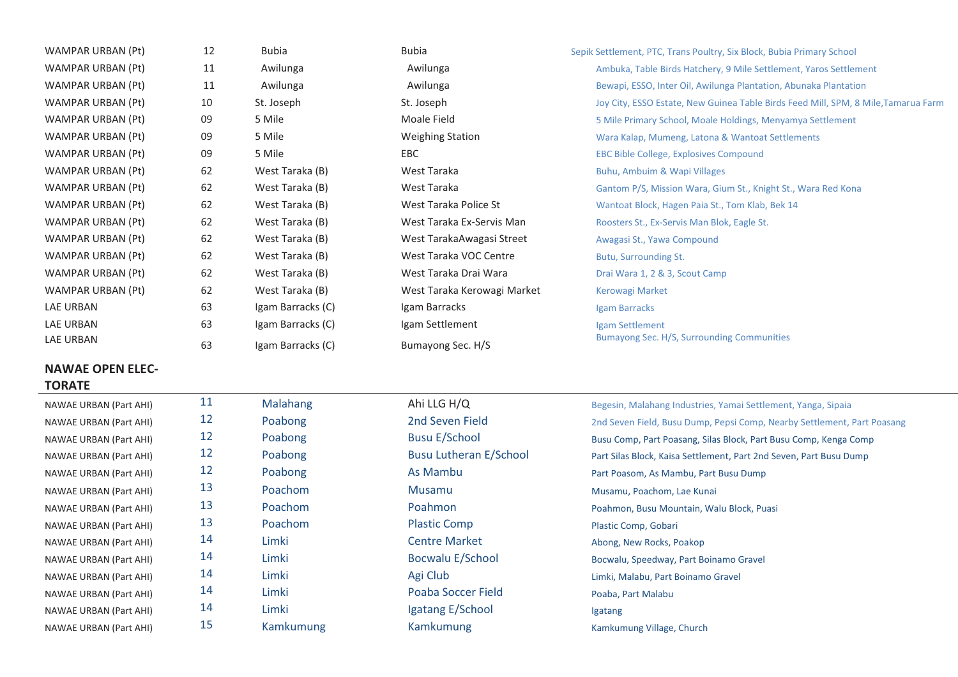| WAMPAR URBAN (Pt)                        | 12 | <b>Bubia</b>      | <b>Bubia</b>                | Sepik Settlement, PTC, Trans Poultry, Six Block, Bubia Primary School              |
|------------------------------------------|----|-------------------|-----------------------------|------------------------------------------------------------------------------------|
| WAMPAR URBAN (Pt)                        | 11 | Awilunga          | Awilunga                    | Ambuka, Table Birds Hatchery, 9 Mile Settlement, Yaros Settlement                  |
| <b>WAMPAR URBAN (Pt)</b>                 | 11 | Awilunga          | Awilunga                    | Bewapi, ESSO, Inter Oil, Awilunga Plantation, Abunaka Plantation                   |
| WAMPAR URBAN (Pt)                        | 10 | St. Joseph        | St. Joseph                  | Joy City, ESSO Estate, New Guinea Table Birds Feed Mill, SPM, 8 Mile, Tamarua Farm |
| <b>WAMPAR URBAN (Pt)</b>                 | 09 | 5 Mile            | Moale Field                 | 5 Mile Primary School, Moale Holdings, Menyamya Settlement                         |
| WAMPAR URBAN (Pt)                        | 09 | 5 Mile            | <b>Weighing Station</b>     | Wara Kalap, Mumeng, Latona & Wantoat Settlements                                   |
| WAMPAR URBAN (Pt)                        | 09 | 5 Mile            | EBC                         | EBC Bible College, Explosives Compound                                             |
| WAMPAR URBAN (Pt)                        | 62 | West Taraka (B)   | West Taraka                 | Buhu, Ambuim & Wapi Villages                                                       |
| <b>WAMPAR URBAN (Pt)</b>                 | 62 | West Taraka (B)   | West Taraka                 | Gantom P/S, Mission Wara, Gium St., Knight St., Wara Red Kona                      |
| WAMPAR URBAN (Pt)                        | 62 | West Taraka (B)   | West Taraka Police St       | Wantoat Block, Hagen Paia St., Tom Klab, Bek 14                                    |
| WAMPAR URBAN (Pt)                        | 62 | West Taraka (B)   | West Taraka Ex-Servis Man   | Roosters St., Ex-Servis Man Blok, Eagle St.                                        |
| WAMPAR URBAN (Pt)                        | 62 | West Taraka (B)   | West TarakaAwagasi Street   | Awagasi St., Yawa Compound                                                         |
| WAMPAR URBAN (Pt)                        | 62 | West Taraka (B)   | West Taraka VOC Centre      | Butu, Surrounding St.                                                              |
| WAMPAR URBAN (Pt)                        | 62 | West Taraka (B)   | West Taraka Drai Wara       | Drai Wara 1, 2 & 3, Scout Camp                                                     |
| WAMPAR URBAN (Pt)                        | 62 | West Taraka (B)   | West Taraka Kerowagi Market | <b>Kerowagi Market</b>                                                             |
| <b>LAE URBAN</b>                         | 63 | Igam Barracks (C) | Igam Barracks               | Igam Barracks                                                                      |
| <b>LAE URBAN</b>                         | 63 | Igam Barracks (C) | Igam Settlement             | Igam Settlement                                                                    |
| LAE URBAN                                | 63 | Igam Barracks (C) | Bumayong Sec. H/S           | Bumayong Sec. H/S, Surrounding Communities                                         |
| <b>NAWAE OPEN ELEC-</b><br><b>TORATE</b> |    |                   |                             |                                                                                    |
| <b>NAWAE URBAN (Part AHI)</b>            | 11 | <b>Malahang</b>   | Ahi LLG H/Q                 | Begesin, Malahang Industries, Yamai Settlement, Yanga, Sipaia                      |

| NAWAE URBAN (Part AHI)        | -- | <b>IVIdididig</b> | AIII LLU N/U                  | Begesin, Malahang Industries, Yamai Settlem     |
|-------------------------------|----|-------------------|-------------------------------|-------------------------------------------------|
| <b>NAWAE URBAN (Part AHI)</b> | 12 | Poabong           | 2nd Seven Field               | 2nd Seven Field, Busu Dump, Pepsi Comp, Ne      |
| <b>NAWAE URBAN (Part AHI)</b> | 12 | Poabong           | <b>Busu E/School</b>          | Busu Comp, Part Poasang, Silas Block, Part Bu   |
| <b>NAWAE URBAN (Part AHI)</b> | 12 | Poabong           | <b>Busu Lutheran E/School</b> | Part Silas Block, Kaisa Settlement, Part 2nd Se |
| <b>NAWAE URBAN (Part AHI)</b> | 12 | Poabong           | As Mambu                      | Part Poasom, As Mambu, Part Busu Dump           |
| <b>NAWAE URBAN (Part AHI)</b> | 13 | Poachom           | <b>Musamu</b>                 | Musamu, Poachom, Lae Kunai                      |
| NAWAE URBAN (Part AHI)        | 13 | <b>Poachom</b>    | Poahmon                       | Poahmon, Busu Mountain, Walu Block, Puasi       |
| <b>NAWAE URBAN (Part AHI)</b> | 13 | <b>Poachom</b>    | <b>Plastic Comp</b>           | Plastic Comp, Gobari                            |
| <b>NAWAE URBAN (Part AHI)</b> | 14 | Limki             | <b>Centre Market</b>          | Abong, New Rocks, Poakop                        |
| <b>NAWAE URBAN (Part AHI)</b> | 14 | Limki             | <b>Bocwalu E/School</b>       | Bocwalu, Speedway, Part Boinamo Gravel          |
| <b>NAWAE URBAN (Part AHI)</b> | 14 | Limki             | Agi Club                      | Limki, Malabu, Part Boinamo Gravel              |
| <b>NAWAE URBAN (Part AHI)</b> | 14 | Limki             | Poaba Soccer Field            | Poaba, Part Malabu                              |
| <b>NAWAE URBAN (Part AHI)</b> | 14 | Limki             | Igatang E/School              | <b>Igatang</b>                                  |
| <b>NAWAE URBAN (Part AHI)</b> | 15 | Kamkumung         | Kamkumung                     | Kamkumung Village, Church                       |

## NAWAE URBAN (Part AHI) 12 Poabong 2nd Seven Field 2nd Seven Field, Busu Dump, Pepsi Comp, Nearby Settlement, Part Poasang NAWAE URBAN (Part AHI) 12 Poabong Busu E/School Busu E/School Busu Comp, Part Poasang, Silas Block, Part Busu Comp, Kenga Comp NAWAE URBAN (Part AHI) 12 Poabong Busu Lutheran E/School Part Silas Block, Kaisa Settlement, Part 2nd Seven, Part Busu Dump